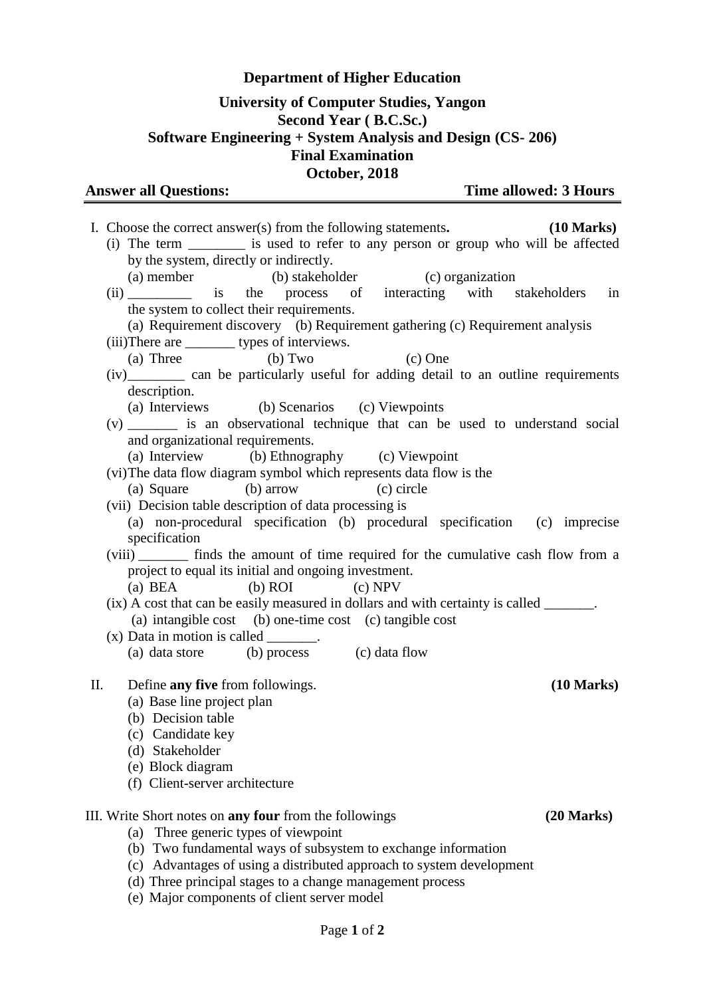## **Department of Higher Education**

## **University of Computer Studies, Yangon Second Year ( B.C.Sc.) Software Engineering + System Analysis and Design (CS- 206) Final Examination October, 2018**

|  |  |  | <b>Answer all Questions:</b> |
|--|--|--|------------------------------|
|--|--|--|------------------------------|

**Time allowed: 3 Hours** 

|                                                                                                                                                                               | I. Choose the correct answer(s) from the following statements.                            | $(10 \text{ Marks})$ |  |  |  |                                                           |  |
|-------------------------------------------------------------------------------------------------------------------------------------------------------------------------------|-------------------------------------------------------------------------------------------|----------------------|--|--|--|-----------------------------------------------------------|--|
|                                                                                                                                                                               | (i) The term _________ is used to refer to any person or group who will be affected       |                      |  |  |  |                                                           |  |
|                                                                                                                                                                               | by the system, directly or indirectly.                                                    |                      |  |  |  |                                                           |  |
|                                                                                                                                                                               | (a) member (b) stakeholder (c) organization                                               |                      |  |  |  |                                                           |  |
|                                                                                                                                                                               | (ii) is the process of interacting with stakeholders in                                   |                      |  |  |  |                                                           |  |
|                                                                                                                                                                               | the system to collect their requirements.                                                 |                      |  |  |  |                                                           |  |
|                                                                                                                                                                               | (a) Requirement discovery (b) Requirement gathering (c) Requirement analysis              |                      |  |  |  |                                                           |  |
|                                                                                                                                                                               | (iii)There are ________ types of interviews.                                              |                      |  |  |  |                                                           |  |
|                                                                                                                                                                               | (a) Three $\qquad \qquad$ (b) Two<br>$(c)$ One                                            |                      |  |  |  |                                                           |  |
| (iv) __________ can be particularly useful for adding detail to an outline requirements<br>description.                                                                       |                                                                                           |                      |  |  |  |                                                           |  |
| (a) Interviews (b) Scenarios (c) Viewpoints                                                                                                                                   |                                                                                           |                      |  |  |  |                                                           |  |
|                                                                                                                                                                               | (v) ________ is an observational technique that can be used to understand social          |                      |  |  |  |                                                           |  |
|                                                                                                                                                                               | and organizational requirements.                                                          |                      |  |  |  |                                                           |  |
|                                                                                                                                                                               | (a) Interview (b) Ethnography (c) Viewpoint                                               |                      |  |  |  |                                                           |  |
|                                                                                                                                                                               | (vi) The data flow diagram symbol which represents data flow is the                       |                      |  |  |  |                                                           |  |
|                                                                                                                                                                               | (a) Square (b) arrow (c) circle                                                           |                      |  |  |  |                                                           |  |
|                                                                                                                                                                               | (vii) Decision table description of data processing is                                    |                      |  |  |  |                                                           |  |
|                                                                                                                                                                               | (a) non-procedural specification (b) procedural specification (c) imprecise               |                      |  |  |  |                                                           |  |
|                                                                                                                                                                               | specification                                                                             |                      |  |  |  |                                                           |  |
|                                                                                                                                                                               | (viii) ________ finds the amount of time required for the cumulative cash flow from a     |                      |  |  |  |                                                           |  |
|                                                                                                                                                                               | project to equal its initial and ongoing investment.<br>$(c)$ NPV<br>$(b)$ ROI<br>(a) BEA |                      |  |  |  |                                                           |  |
|                                                                                                                                                                               | (ix) A cost that can be easily measured in dollars and with certainty is called ______.   |                      |  |  |  |                                                           |  |
|                                                                                                                                                                               | (a) intangible cost (b) one-time cost (c) tangible cost                                   |                      |  |  |  |                                                           |  |
|                                                                                                                                                                               | $(x)$ Data in motion is called _______.                                                   |                      |  |  |  |                                                           |  |
|                                                                                                                                                                               | (a) data store (b) process (c) data flow                                                  |                      |  |  |  |                                                           |  |
|                                                                                                                                                                               |                                                                                           |                      |  |  |  |                                                           |  |
| П.                                                                                                                                                                            | Define any five from followings.                                                          | $(10 \text{ Marks})$ |  |  |  |                                                           |  |
|                                                                                                                                                                               | (a) Base line project plan                                                                |                      |  |  |  |                                                           |  |
|                                                                                                                                                                               | (b) Decision table                                                                        |                      |  |  |  |                                                           |  |
|                                                                                                                                                                               | (c) Candidate key                                                                         |                      |  |  |  |                                                           |  |
|                                                                                                                                                                               | (d) Stakeholder                                                                           |                      |  |  |  |                                                           |  |
|                                                                                                                                                                               | (e) Block diagram                                                                         |                      |  |  |  |                                                           |  |
|                                                                                                                                                                               | (f) Client-server architecture                                                            |                      |  |  |  |                                                           |  |
|                                                                                                                                                                               | III. Write Short notes on <b>any four</b> from the followings                             | $(20$ Marks)         |  |  |  |                                                           |  |
| (a) Three generic types of viewpoint<br>(b) Two fundamental ways of subsystem to exchange information<br>(c) Advantages of using a distributed approach to system development |                                                                                           |                      |  |  |  |                                                           |  |
|                                                                                                                                                                               |                                                                                           |                      |  |  |  | (d) Three principal stages to a change management process |  |
|                                                                                                                                                                               |                                                                                           |                      |  |  |  | (e) Major components of client server model               |  |